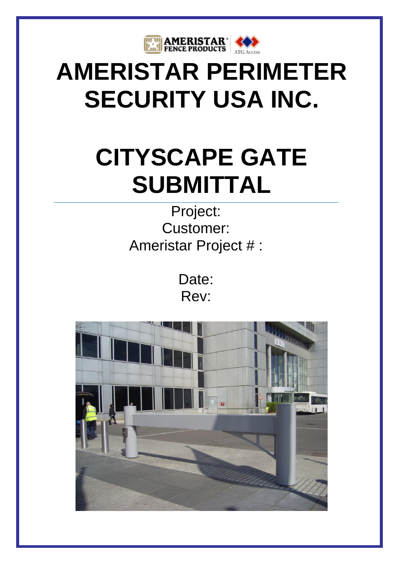

# **AMERISTAR PERIMETER SECURITY USA INC.**

# **CITYSCAPE GATE SUBMITTAL**

Project: Customer: Ameristar Project # :

> Date: Rev:

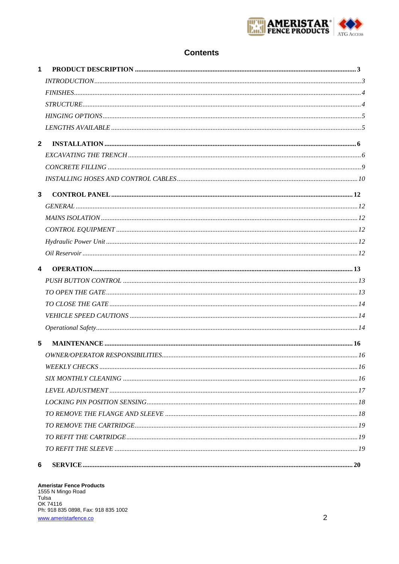

# **Contents**

| $\mathbf 1$             |  |
|-------------------------|--|
|                         |  |
|                         |  |
|                         |  |
|                         |  |
|                         |  |
| $\mathbf{2}$            |  |
|                         |  |
|                         |  |
|                         |  |
| $\mathbf{3}$            |  |
|                         |  |
|                         |  |
|                         |  |
|                         |  |
|                         |  |
| $\overline{\mathbf{4}}$ |  |
|                         |  |
|                         |  |
|                         |  |
|                         |  |
|                         |  |
| 5                       |  |
|                         |  |
|                         |  |
|                         |  |
|                         |  |
|                         |  |
|                         |  |
|                         |  |
|                         |  |
|                         |  |
| 6                       |  |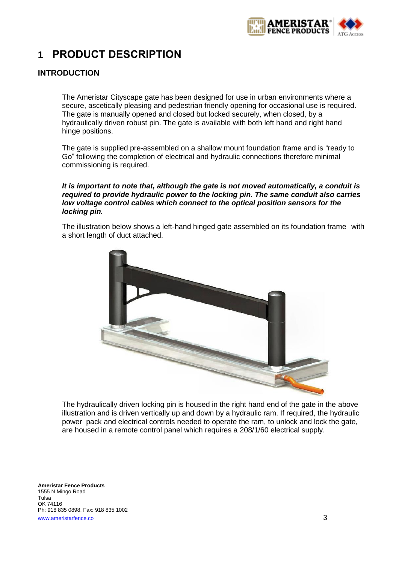

# <span id="page-2-0"></span>**1 PRODUCT DESCRIPTION**

# <span id="page-2-1"></span>**INTRODUCTION**

The Ameristar Cityscape gate has been designed for use in urban environments where a secure, ascetically pleasing and pedestrian friendly opening for occasional use is required. The gate is manually opened and closed but locked securely, when closed, by a hydraulically driven robust pin. The gate is available with both left hand and right hand hinge positions.

The gate is supplied pre-assembled on a shallow mount foundation frame and is "ready to Go" following the completion of electrical and hydraulic connections therefore minimal commissioning is required.

#### *It is important to note that, although the gate is not moved automatically, a conduit is required to provide hydraulic power to the locking pin. The same conduit also carries low voltage control cables which connect to the optical position sensors for the locking pin.*

The illustration below shows a left-hand hinged gate assembled on its foundation frame with a short length of duct attached.



The hydraulically driven locking pin is housed in the right hand end of the gate in the above illustration and is driven vertically up and down by a hydraulic ram. If required, the hydraulic power pack and electrical controls needed to operate the ram, to unlock and lock the gate, are housed in a remote control panel which requires a 208/1/60 electrical supply.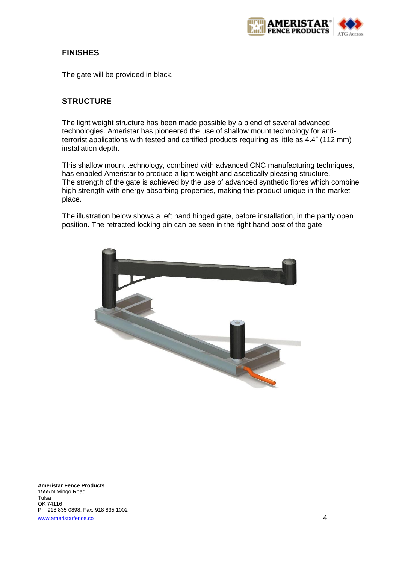

# <span id="page-3-0"></span>**FINISHES**

The gate will be provided in black.

# <span id="page-3-1"></span>**STRUCTURE**

The light weight structure has been made possible by a blend of several advanced technologies. Ameristar has pioneered the use of shallow mount technology for antiterrorist applications with tested and certified products requiring as little as 4.4" (112 mm) installation depth.

This shallow mount technology, combined with advanced CNC manufacturing techniques, has enabled Ameristar to produce a light weight and ascetically pleasing structure. The strength of the gate is achieved by the use of advanced synthetic fibres which combine high strength with energy absorbing properties, making this product unique in the market place.

The illustration below shows a left hand hinged gate, before installation, in the partly open position. The retracted locking pin can be seen in the right hand post of the gate.

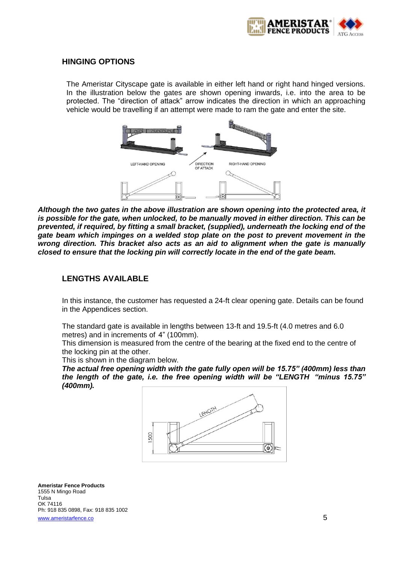

### <span id="page-4-0"></span>**HINGING OPTIONS**

The Ameristar Cityscape gate is available in either left hand or right hand hinged versions. In the illustration below the gates are shown opening inwards, i.e. into the area to be protected. The "direction of attack" arrow indicates the direction in which an approaching vehicle would be travelling if an attempt were made to ram the gate and enter the site.



*Although the two gates in the above illustration are shown opening into the protected area, it is possible for the gate, when unlocked, to be manually moved in either direction. This can be prevented, if required, by fitting a small bracket, (supplied), underneath the locking end of the gate beam which impinges on a welded stop plate on the post to prevent movement in the wrong direction. This bracket also acts as an aid to alignment when the gate is manually closed to ensure that the locking pin will correctly locate in the end of the gate beam.*

## <span id="page-4-1"></span>**LENGTHS AVAILABLE**

In this instance, the customer has requested a 24-ft clear opening gate. Details can be found in the Appendices section.

The standard gate is available in lengths between 13-ft and 19.5-ft (4.0 metres and 6.0 metres) and in increments of 4" (100mm).

This dimension is measured from the centre of the bearing at the fixed end to the centre of the locking pin at the other.

This is shown in the diagram below.

*The actual free opening width with the gate fully open will be 15.75" (400mm) less than the length of the gate, i.e. the free opening width will be "LENGTH "minus 15.75" (400mm).*

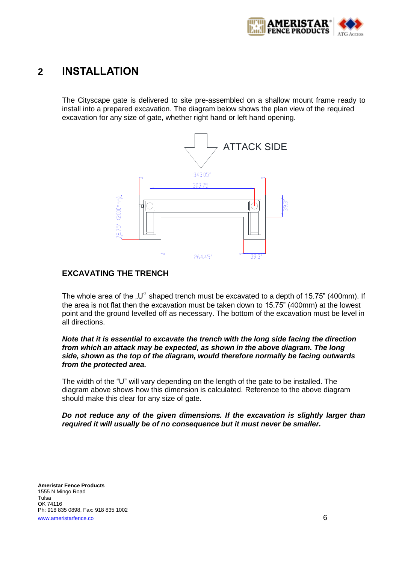

# <span id="page-5-0"></span>**2 INSTALLATION**

The Cityscape gate is delivered to site pre-assembled on a shallow mount frame ready to install into a prepared excavation. The diagram below shows the plan view of the required excavation for any size of gate, whether right hand or left hand opening.



## <span id="page-5-1"></span>**EXCAVATING THE TRENCH**

The whole area of the  $U''$  shaped trench must be excavated to a depth of 15.75" (400mm). If the area is not flat then the excavation must be taken down to 15.75" (400mm) at the lowest point and the ground levelled off as necessary. The bottom of the excavation must be level in all directions.

#### *Note that it is essential to excavate the trench with the long side facing the direction from which an attack may be expected, as shown in the above diagram. The long side, shown as the top of the diagram, would therefore normally be facing outwards from the protected area.*

The width of the "U" will vary depending on the length of the gate to be installed. The diagram above shows how this dimension is calculated. Reference to the above diagram should make this clear for any size of gate.

#### *Do not reduce any of the given dimensions. If the excavation is slightly larger than required it will usually be of no consequence but it must never be smaller.*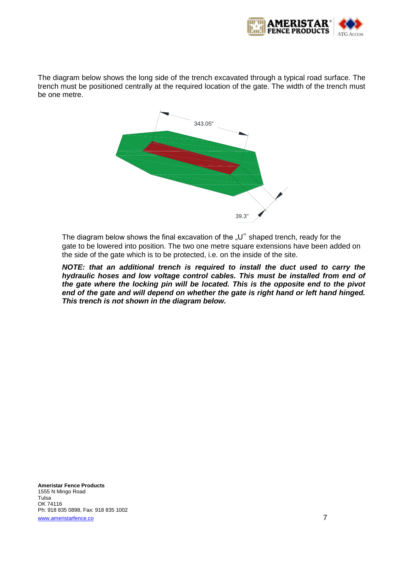

The diagram below shows the long side of the trench excavated through a typical road surface. The trench must be positioned centrally at the required location of the gate. The width of the trench must be one metre.



The diagram below shows the final excavation of the "U" shaped trench, ready for the gate to be lowered into position. The two one metre square extensions have been added on the side of the gate which is to be protected, i.e. on the inside of the site.

*NOTE: that an additional trench is required to install the duct used to carry the hydraulic hoses and low voltage control cables. This must be installed from end of the gate where the locking pin will be located. This is the opposite end to the pivot end of the gate and will depend on whether the gate is right hand or left hand hinged. This trench is not shown in the diagram below.*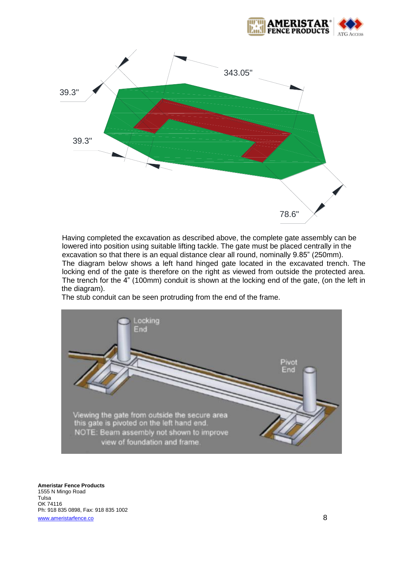



Having completed the excavation as described above, the complete gate assembly can be lowered into position using suitable lifting tackle. The gate must be placed centrally in the excavation so that there is an equal distance clear all round, nominally 9.85" (250mm). The diagram below shows a left hand hinged gate located in the excavated trench. The locking end of the gate is therefore on the right as viewed from outside the protected area. The trench for the 4" (100mm) conduit is shown at the locking end of the gate, (on the left in the diagram).

The stub conduit can be seen protruding from the end of the frame.

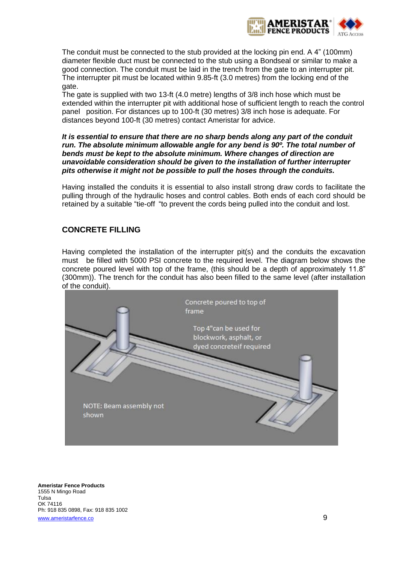

The conduit must be connected to the stub provided at the locking pin end. A 4" (100mm) diameter flexible duct must be connected to the stub using a Bondseal or similar to make a good connection. The conduit must be laid in the trench from the gate to an interrupter pit. The interrupter pit must be located within 9.85-ft (3.0 metres) from the locking end of the gate.

The gate is supplied with two 13-ft (4.0 metre) lengths of 3/8 inch hose which must be extended within the interrupter pit with additional hose of sufficient length to reach the control panel position. For distances up to 100-ft (30 metres) 3/8 inch hose is adequate. For distances beyond 100-ft (30 metres) contact Ameristar for advice.

#### *It is essential to ensure that there are no sharp bends along any part of the conduit run. The absolute minimum allowable angle for any bend is 90º. The total number of bends must be kept to the absolute minimum. Where changes of direction are unavoidable consideration should be given to the installation of further interrupter pits otherwise it might not be possible to pull the hoses through the conduits.*

Having installed the conduits it is essential to also install strong draw cords to facilitate the pulling through of the hydraulic hoses and control cables. Both ends of each cord should be retained by a suitable "tie-off "to prevent the cords being pulled into the conduit and lost.

# <span id="page-8-0"></span>**CONCRETE FILLING**

Having completed the installation of the interrupter pit(s) and the conduits the excavation must be filled with 5000 PSI concrete to the required level. The diagram below shows the concrete poured level with top of the frame, (this should be a depth of approximately 11.8" (300mm)). The trench for the conduit has also been filled to the same level (after installation of the conduit).

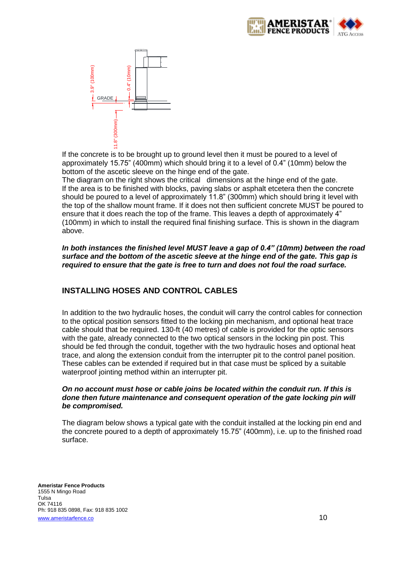



If the concrete is to be brought up to ground level then it must be poured to a level of approximately 15.75" (400mm) which should bring it to a level of 0.4" (10mm) below the bottom of the ascetic sleeve on the hinge end of the gate.

The diagram on the right shows the critical dimensions at the hinge end of the gate. If the area is to be finished with blocks, paving slabs or asphalt etcetera then the concrete should be poured to a level of approximately 11.8" (300mm) which should bring it level with the top of the shallow mount frame. If it does not then sufficient concrete MUST be poured to ensure that it does reach the top of the frame. This leaves a depth of approximately 4" (100mm) in which to install the required final finishing surface. This is shown in the diagram above.

*In both instances the finished level MUST leave a gap of 0.4" (10mm) between the road surface and the bottom of the ascetic sleeve at the hinge end of the gate. This gap is required to ensure that the gate is free to turn and does not foul the road surface.*

# <span id="page-9-0"></span>**INSTALLING HOSES AND CONTROL CABLES**

In addition to the two hydraulic hoses, the conduit will carry the control cables for connection to the optical position sensors fitted to the locking pin mechanism, and optional heat trace cable should that be required. 130-ft (40 metres) of cable is provided for the optic sensors with the gate, already connected to the two optical sensors in the locking pin post. This should be fed through the conduit, together with the two hydraulic hoses and optional heat trace, and along the extension conduit from the interrupter pit to the control panel position. These cables can be extended if required but in that case must be spliced by a suitable waterproof jointing method within an interrupter pit.

#### *On no account must hose or cable joins be located within the conduit run. If this is done then future maintenance and consequent operation of the gate locking pin will be compromised.*

The diagram below shows a typical gate with the conduit installed at the locking pin end and the concrete poured to a depth of approximately 15.75" (400mm), i.e. up to the finished road surface.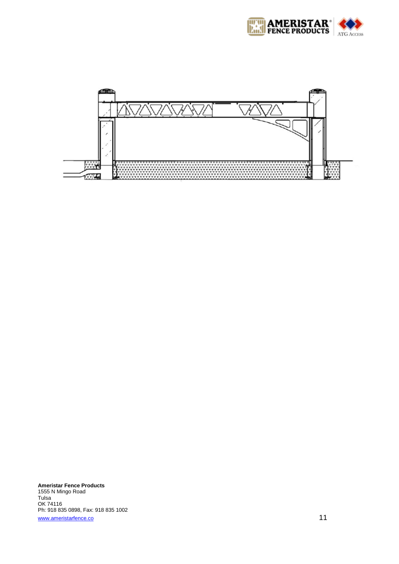

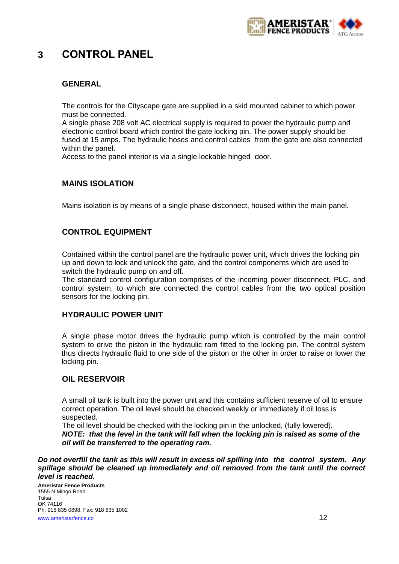

# <span id="page-11-0"></span>**3 CONTROL PANEL**

# <span id="page-11-1"></span>**GENERAL**

The controls for the Cityscape gate are supplied in a skid mounted cabinet to which power must be connected.

A single phase 208 volt AC electrical supply is required to power the hydraulic pump and electronic control board which control the gate locking pin. The power supply should be fused at 15 amps. The hydraulic hoses and control cables from the gate are also connected within the panel.

Access to the panel interior is via a single lockable hinged door.

# <span id="page-11-2"></span>**MAINS ISOLATION**

Mains isolation is by means of a single phase disconnect, housed within the main panel.

# <span id="page-11-3"></span>**CONTROL EQUIPMENT**

Contained within the control panel are the hydraulic power unit, which drives the locking pin up and down to lock and unlock the gate, and the control components which are used to switch the hydraulic pump on and off.

The standard control configuration comprises of the incoming power disconnect, PLC, and control system, to which are connected the control cables from the two optical position sensors for the locking pin.

# <span id="page-11-4"></span>**HYDRAULIC POWER UNIT**

A single phase motor drives the hydraulic pump which is controlled by the main control system to drive the piston in the hydraulic ram fitted to the locking pin. The control system thus directs hydraulic fluid to one side of the piston or the other in order to raise or lower the locking pin.

# <span id="page-11-5"></span>**OIL RESERVOIR**

A small oil tank is built into the power unit and this contains sufficient reserve of oil to ensure correct operation. The oil level should be checked weekly or immediately if oil loss is suspected.

The oil level should be checked with the locking pin in the unlocked, (fully lowered). *NOTE: that the level in the tank will fall when the locking pin is raised as some of the oil will be transferred to the operating ram.* 

*Do not overfill the tank as this will result in excess oil spilling into the control system. Any spillage should be cleaned up immediately and oil removed from the tank until the correct level is reached.*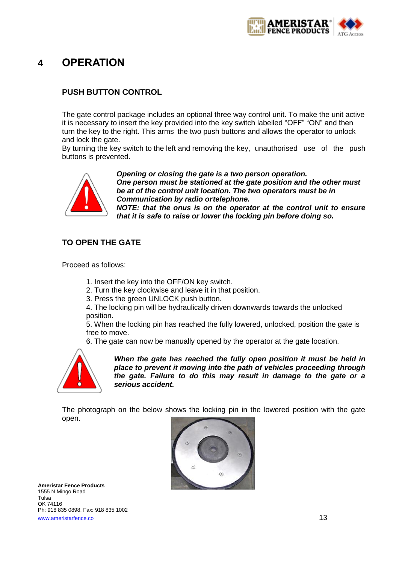

# <span id="page-12-0"></span>**4 OPERATION**

# <span id="page-12-1"></span>**PUSH BUTTON CONTROL**

The gate control package includes an optional three way control unit. To make the unit active it is necessary to insert the key provided into the key switch labelled "OFF" "ON" and then turn the key to the right. This arms the two push buttons and allows the operator to unlock and lock the gate.

By turning the key switch to the left and removing the key, unauthorised use of the push buttons is prevented.



*Opening or closing the gate is a two person operation. One person must be stationed at the gate position and the other must be at of the control unit location. The two operators must be in Communication by radio ortelephone.* 

*NOTE: that the onus is on the operator at the control unit to ensure that it is safe to raise or lower the locking pin before doing so.*

# <span id="page-12-2"></span>**TO OPEN THE GATE**

Proceed as follows:

- 1. Insert the key into the OFF/ON key switch.
- 2. Turn the key clockwise and leave it in that position.
- 3. Press the green UNLOCK push button.

4. The locking pin will be hydraulically driven downwards towards the unlocked position.

5. When the locking pin has reached the fully lowered, unlocked, position the gate is free to move.

6. The gate can now be manually opened by the operator at the gate location.



*When the gate has reached the fully open position it must be held in place to prevent it moving into the path of vehicles proceeding through the gate. Failure to do this may result in damage to the gate or a serious accident.*

The photograph on the below shows the locking pin in the lowered position with the gate open.

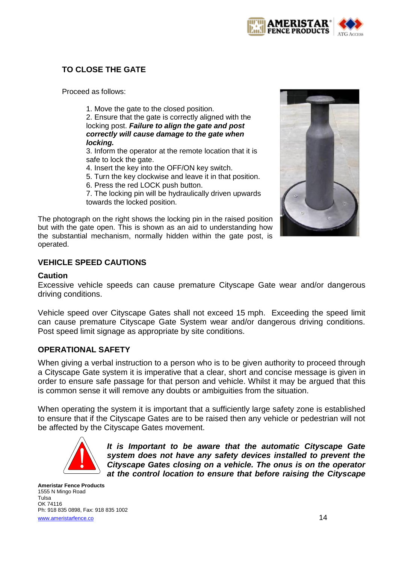

# <span id="page-13-0"></span>**TO CLOSE THE GATE**

Proceed as follows:

1. Move the gate to the closed position.

2. Ensure that the gate is correctly aligned with the locking post. *Failure to align the gate and post correctly will cause damage to the gate when locking.* 

3. Inform the operator at the remote location that it is safe to lock the gate.

4. Insert the key into the OFF/ON key switch.

5. Turn the key clockwise and leave it in that position.

6. Press the red LOCK push button.

7. The locking pin will be hydraulically driven upwards towards the locked position.

The photograph on the right shows the locking pin in the raised position but with the gate open. This is shown as an aid to understanding how the substantial mechanism, normally hidden within the gate post, is operated.



# <span id="page-13-1"></span>**VEHICLE SPEED CAUTIONS**

## **Caution**

Excessive vehicle speeds can cause premature Cityscape Gate wear and/or dangerous driving conditions.

Vehicle speed over Cityscape Gates shall not exceed 15 mph. Exceeding the speed limit can cause premature Cityscape Gate System wear and/or dangerous driving conditions. Post speed limit signage as appropriate by site conditions.

# <span id="page-13-2"></span>**OPERATIONAL SAFETY**

When giving a verbal instruction to a person who is to be given authority to proceed through a Cityscape Gate system it is imperative that a clear, short and concise message is given in order to ensure safe passage for that person and vehicle. Whilst it may be argued that this is common sense it will remove any doubts or ambiguities from the situation.

When operating the system it is important that a sufficiently large safety zone is established to ensure that if the Cityscape Gates are to be raised then any vehicle or pedestrian will not be affected by the Cityscape Gates movement.



*It is Important to be aware that the automatic Cityscape Gate system does not have any safety devices installed to prevent the Cityscape Gates closing on a vehicle. The onus is on the operator at the control location to ensure that before raising the Cityscape*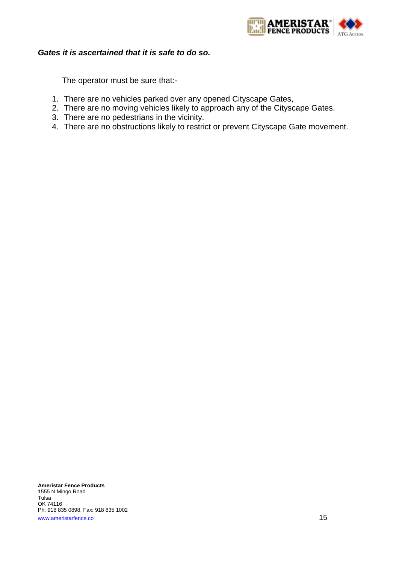

## *Gates it is ascertained that it is safe to do so.*

The operator must be sure that:-

- 1. There are no vehicles parked over any opened Cityscape Gates,
- 2. There are no moving vehicles likely to approach any of the Cityscape Gates.
- 3. There are no pedestrians in the vicinity.
- 4. There are no obstructions likely to restrict or prevent Cityscape Gate movement.

**Ameristar Fence Products** 1555 N Mingo Road Tulsa OK 74116 Ph: 918 835 0898, Fax: 918 835 1002 [www.ameristarfence.co](http://www.ameristarfence.co/) and the state of the state of the state of the state of the state of the state of the state of the state of the state of the state of the state of the state of the state of the state of the state of t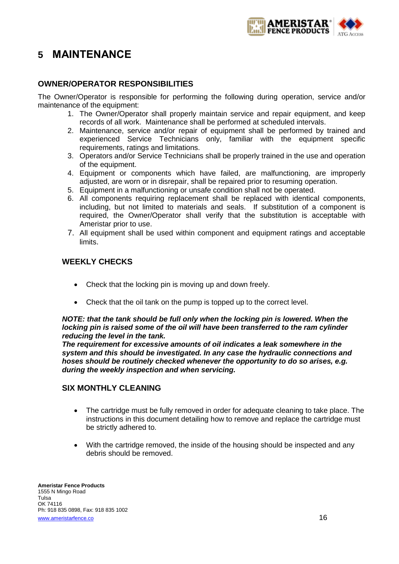

# <span id="page-15-0"></span>**5 MAINTENANCE**

# <span id="page-15-1"></span>**OWNER/OPERATOR RESPONSIBILITIES**

The Owner/Operator is responsible for performing the following during operation, service and/or maintenance of the equipment:

- 1. The Owner/Operator shall properly maintain service and repair equipment, and keep records of all work. Maintenance shall be performed at scheduled intervals.
- 2. Maintenance, service and/or repair of equipment shall be performed by trained and experienced Service Technicians only, familiar with the equipment specific requirements, ratings and limitations.
- 3. Operators and/or Service Technicians shall be properly trained in the use and operation of the equipment.
- 4. Equipment or components which have failed, are malfunctioning, are improperly adjusted, are worn or in disrepair, shall be repaired prior to resuming operation.
- 5. Equipment in a malfunctioning or unsafe condition shall not be operated.
- 6. All components requiring replacement shall be replaced with identical components, including, but not limited to materials and seals. If substitution of a component is required, the Owner/Operator shall verify that the substitution is acceptable with Ameristar prior to use.
- 7. All equipment shall be used within component and equipment ratings and acceptable limits.

# <span id="page-15-2"></span>**WEEKLY CHECKS**

- Check that the locking pin is moving up and down freely.
- Check that the oil tank on the pump is topped up to the correct level.

#### *NOTE: that the tank should be full only when the locking pin is lowered. When the locking pin is raised some of the oil will have been transferred to the ram cylinder reducing the level in the tank.*

*The requirement for excessive amounts of oil indicates a leak somewhere in the system and this should be investigated. In any case the hydraulic connections and hoses should be routinely checked whenever the opportunity to do so arises, e.g. during the weekly inspection and when servicing.* 

# <span id="page-15-3"></span>**SIX MONTHLY CLEANING**

- The cartridge must be fully removed in order for adequate cleaning to take place. The instructions in this document detailing how to remove and replace the cartridge must be strictly adhered to.
- With the cartridge removed, the inside of the housing should be inspected and any debris should be removed.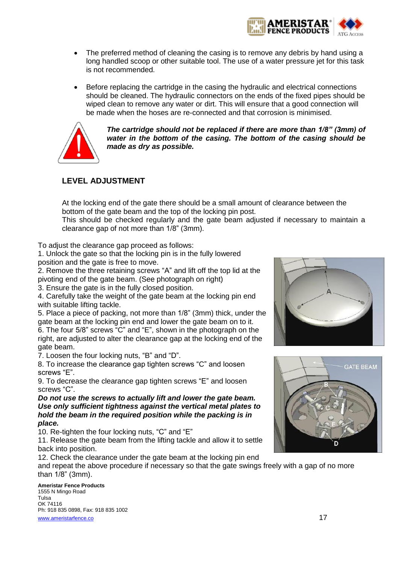

- The preferred method of cleaning the casing is to remove any debris by hand using a long handled scoop or other suitable tool. The use of a water pressure jet for this task is not recommended.
- Before replacing the cartridge in the casing the hydraulic and electrical connections should be cleaned. The hydraulic connectors on the ends of the fixed pipes should be wiped clean to remove any water or dirt. This will ensure that a good connection will be made when the hoses are re-connected and that corrosion is minimised.



*The cartridge should not be replaced if there are more than 1/8" (3mm) of water in the bottom of the casing. The bottom of the casing should be made as dry as possible.*

# <span id="page-16-0"></span>**LEVEL ADJUSTMENT**

At the locking end of the gate there should be a small amount of clearance between the bottom of the gate beam and the top of the locking pin post.

This should be checked regularly and the gate beam adjusted if necessary to maintain a clearance gap of not more than 1/8" (3mm).

To adjust the clearance gap proceed as follows:

1. Unlock the gate so that the locking pin is in the fully lowered position and the gate is free to move.

2. Remove the three retaining screws "A" and lift off the top lid at the pivoting end of the gate beam. (See photograph on right)

3. Ensure the gate is in the fully closed position.

4. Carefully take the weight of the gate beam at the locking pin end with suitable lifting tackle.

5. Place a piece of packing, not more than 1/8" (3mm) thick, under the gate beam at the locking pin end and lower the gate beam on to it. 6. The four 5/8" screws "C" and "E", shown in the photograph on the right, are adjusted to alter the clearance gap at the locking end of the gate beam.

7. Loosen the four locking nuts, "B" and "D".

8. To increase the clearance gap tighten screws "C" and loosen screws "E".

9. To decrease the clearance gap tighten screws "E" and loosen screws "C".

*Do not use the screws to actually lift and lower the gate beam. Use only sufficient tightness against the vertical metal plates to hold the beam in the required position while the packing is in place.* 

10. Re-tighten the four locking nuts, "C" and "E"

11. Release the gate beam from the lifting tackle and allow it to settle back into position.

12. Check the clearance under the gate beam at the locking pin end

and repeat the above procedure if necessary so that the gate swings freely with a gap of no more than 1/8" (3mm).



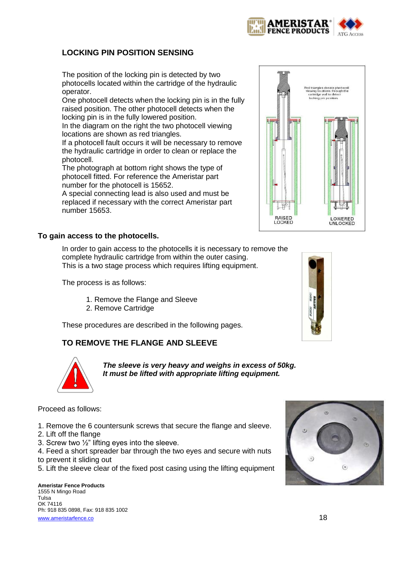# <span id="page-17-0"></span>**LOCKING PIN POSITION SENSING**

The position of the locking pin is detected by two photocells located within the cartridge of the hydraulic operator.

One photocell detects when the locking pin is in the fully raised position. The other photocell detects when the locking pin is in the fully lowered position.

In the diagram on the right the two photocell viewing locations are shown as red triangles.

If a photocell fault occurs it will be necessary to remove the hydraulic cartridge in order to clean or replace the photocell.

The photograph at bottom right shows the type of photocell fitted. For reference the Ameristar part number for the photocell is 15652.

A special connecting lead is also used and must be replaced if necessary with the correct Ameristar part number 15653.

#### **To gain access to the photocells.**

In order to gain access to the photocells it is necessary to remove the complete hydraulic cartridge from within the outer casing. This is a two stage process which requires lifting equipment.

The process is as follows:

- 1. Remove the Flange and Sleeve
- 2. Remove Cartridge

These procedures are described in the following pages.

# <span id="page-17-1"></span>**TO REMOVE THE FLANGE AND SLEEVE**

*The sleeve is very heavy and weighs in excess of 50kg. It must be lifted with appropriate lifting equipment.* 

#### Proceed as follows:

- 1. Remove the 6 countersunk screws that secure the flange and sleeve.
- 2. Lift off the flange
- 3. Screw two ½" lifting eyes into the sleeve.
- 4. Feed a short spreader bar through the two eyes and secure with nuts
- to prevent it sliding out
- 5. Lift the sleeve clear of the fixed post casing using the lifting equipment







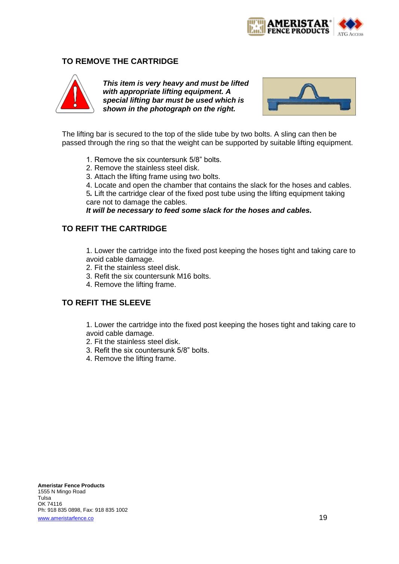

# <span id="page-18-0"></span>**TO REMOVE THE CARTRIDGE**



*This item is very heavy and must be lifted with appropriate lifting equipment. A special lifting bar must be used which is shown in the photograph on the right.* 



The lifting bar is secured to the top of the slide tube by two bolts. A sling can then be passed through the ring so that the weight can be supported by suitable lifting equipment.

- 1. Remove the six countersunk 5/8" bolts.
- 2. Remove the stainless steel disk.
- 3. Attach the lifting frame using two bolts.
- 4. Locate and open the chamber that contains the slack for the hoses and cables.

5*.* Lift the cartridge clear of the fixed post tube using the lifting equipment taking care not to damage the cables.

*It will be necessary to feed some slack for the hoses and cables.* 

# <span id="page-18-1"></span>**TO REFIT THE CARTRIDGE**

1. Lower the cartridge into the fixed post keeping the hoses tight and taking care to avoid cable damage.

- 2. Fit the stainless steel disk.
- 3. Refit the six countersunk M16 bolts.
- 4. Remove the lifting frame.

# <span id="page-18-2"></span>**TO REFIT THE SLEEVE**

1. Lower the cartridge into the fixed post keeping the hoses tight and taking care to avoid cable damage.

- 2. Fit the stainless steel disk.
- 3. Refit the six countersunk 5/8" bolts.
- 4. Remove the lifting frame.